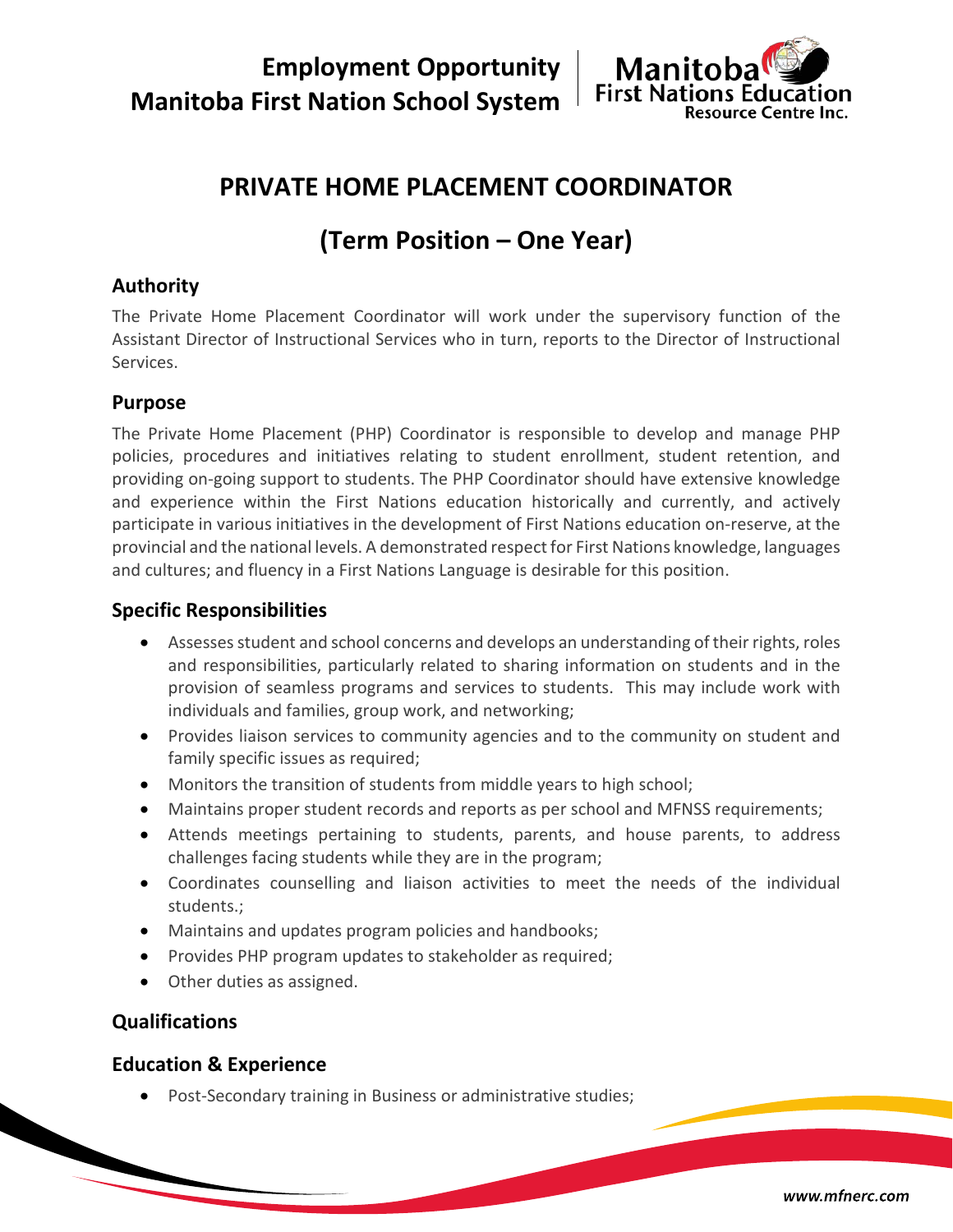**Employment Opportunity Manitoba First Nation School System**



# **PRIVATE HOME PLACEMENT COORDINATOR**

# **(Term Position – One Year)**

# **Authority**

The Private Home Placement Coordinator will work under the supervisory function of the Assistant Director of Instructional Services who in turn, reports to the Director of Instructional Services.

## **Purpose**

The Private Home Placement (PHP) Coordinator is responsible to develop and manage PHP policies, procedures and initiatives relating to student enrollment, student retention, and providing on-going support to students. The PHP Coordinator should have extensive knowledge and experience within the First Nations education historically and currently, and actively participate in various initiatives in the development of First Nations education on-reserve, at the provincial and the national levels. A demonstrated respect for First Nations knowledge, languages and cultures; and fluency in a First Nations Language is desirable for this position.

### **Specific Responsibilities**

- Assesses student and school concerns and develops an understanding of their rights, roles and responsibilities, particularly related to sharing information on students and in the provision of seamless programs and services to students. This may include work with individuals and families, group work, and networking;
- Provides liaison services to community agencies and to the community on student and family specific issues as required;
- Monitors the transition of students from middle years to high school;
- Maintains proper student records and reports as per school and MFNSS requirements;
- Attends meetings pertaining to students, parents, and house parents, to address challenges facing students while they are in the program;
- Coordinates counselling and liaison activities to meet the needs of the individual students.;
- Maintains and updates program policies and handbooks;
- Provides PHP program updates to stakeholder as required;
- Other duties as assigned.

## **Qualifications**

#### **Education & Experience**

• Post-Secondary training in Business or administrative studies;